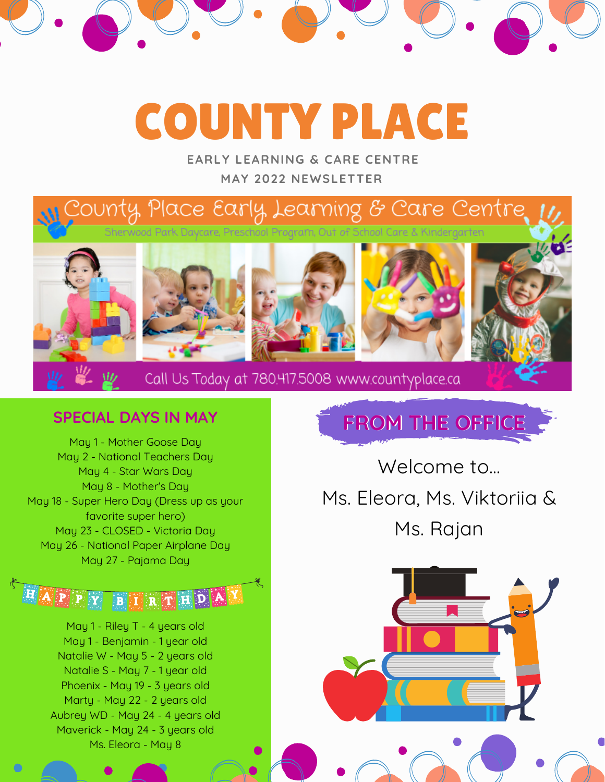# COUNTY PLACE

**MAY 2022 NEWSLETTER EARLY LEARNING & CARE CENTRE**

### County, Place Early, Learning & Care Centre. Sherwood Park Daycare, Preschool Program, Out of School Care & Kindergarten











Call Us Today at 780.417.5008 www.countyplace.ca

#### **SPECIAL DAYS IN MAY**

May 1 - Mother Goose Day May 2 - National Teachers Day May 4 - Star Wars Day May 8 - Mother's Day May 18 - Super Hero Day (Dress up as your favorite super hero) May 23 - CLOSED - Victoria Day May 26 - National Paper Airplane Day May 27 - Pajama Day

HAPPY BINRTHDA

May 1 - Riley T - 4 years old May 1 - Benjamin - 1 year old Natalie W - May 5 - 2 years old Natalie S - May 7 - 1 year old Phoenix - May 19 - 3 years old Marty - May 22 - 2 years old Aubrey WD - May 24 - 4 years old Maverick - May 24 - 3 years old Ms. Eleora - May 8

**FROM THE OFFICE**

Welcome to... Ms. Eleora, Ms. Viktoriia & Ms. Rajan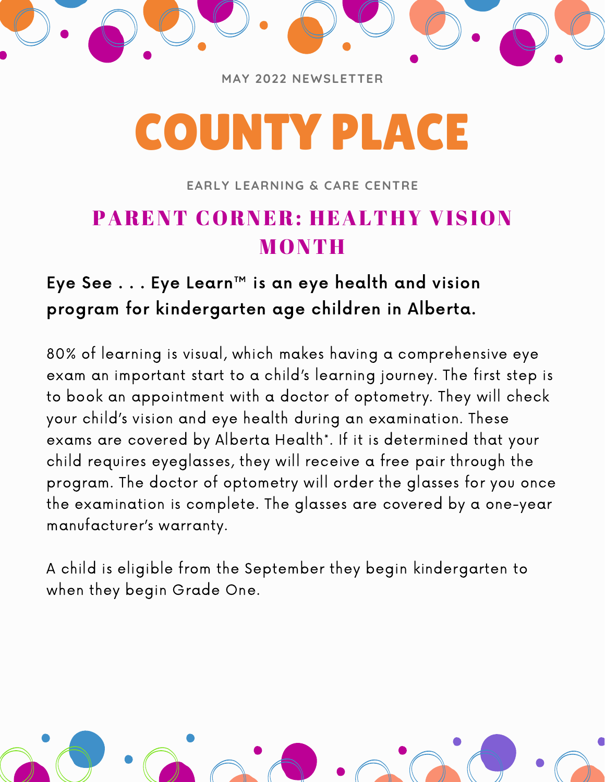

**MAY 2022 NEWSLETTER**

# COUNTY PLACE

**EARLY LEARNING & CARE CENTRE**

## PARENT CORNER: HEALTHY VISION **MONTH**

## Eye See . . . Eye Learn™ is an eye health and vision program for kindergarten age children in Alberta.

80% of learning is visual, which makes having a comprehensive eye exam an important start to a child's learning journey. The first step is to book an appointment with a doctor of optometry. They will check your child's vision and eye health during an examination. These exams are covered by Alberta Health\*. If it is determined that your child requires eyeglasses, they will receive a free pair through the program. The doctor of optometry will order the glasses for you once the examination is complete. The glasses are covered by a one-year manufacturer's warranty.

A child is eligible from the September they begin kindergarten to when they begin Grade One.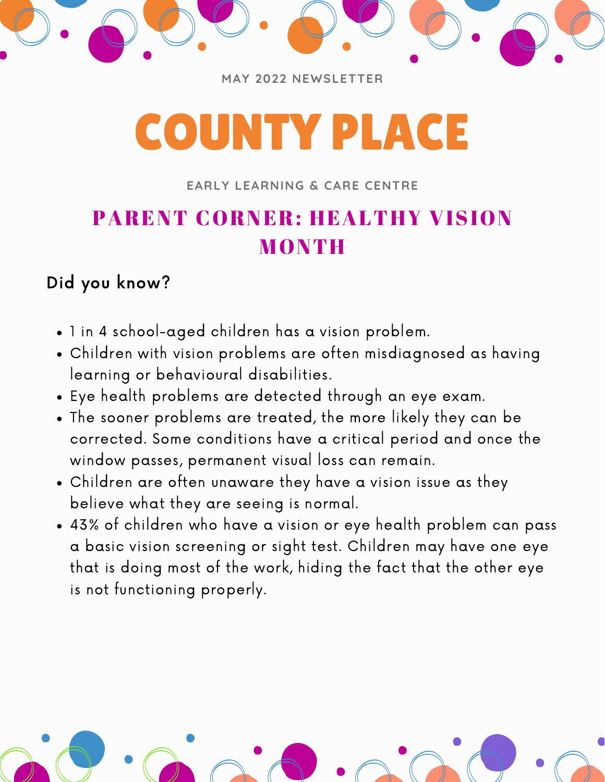

**MAY 2022 NEWSLETTER**

# COUNTY PLACE

#### **EARLY LEARNING & CARE CENTRE**

# PARENT CORNER: HEALTHY VISION MONTH

## Did you know?

- 1 in 4 school-aged children has a vision problem.
- Children with vision problems are often misdiagnosed as having learning or behavioural disabilities.
- Eye health problems are detected through an eye exam.
- The sooner problems are treated, the more likely they can be corrected. Some conditions have a critical period and once the window passes, permanent visual loss can remain.
- Children are often unaware they have a vision issue as they believe what they are seeing is normal.
- 43% of children who have a vision or eye health problem can pass a basic vision screening or sight test. Children may have one eye that is doing most of the work, hiding the fact that the other eye is not functioning properly.